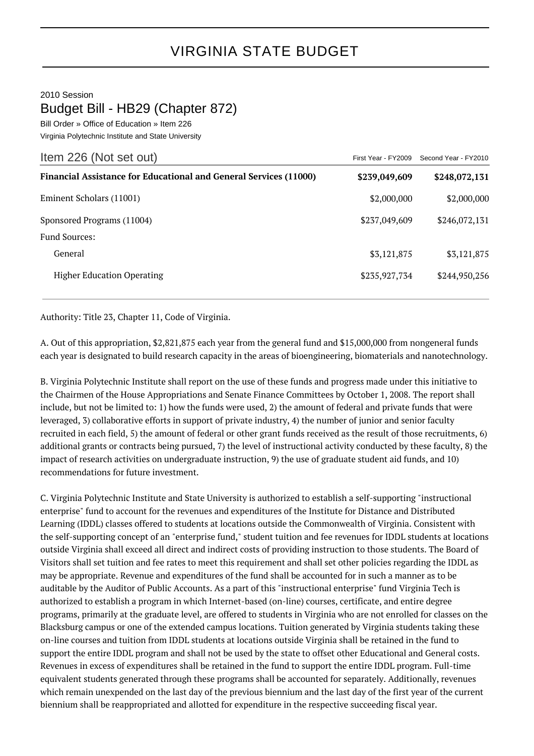## 2010 Session

## Budget Bill - HB29 (Chapter 872)

Bill Order » Office of Education » Item 226 Virginia Polytechnic Institute and State University

| Item 226 (Not set out)                                                   | First Year - FY2009 | Second Year - FY2010 |
|--------------------------------------------------------------------------|---------------------|----------------------|
| <b>Financial Assistance for Educational and General Services (11000)</b> | \$239,049,609       | \$248,072,131        |
| Eminent Scholars (11001)                                                 | \$2,000,000         | \$2,000,000          |
| Sponsored Programs (11004)<br><b>Fund Sources:</b>                       | \$237,049,609       | \$246,072,131        |
| General                                                                  | \$3,121,875         | \$3,121,875          |
| <b>Higher Education Operating</b>                                        | \$235,927,734       | \$244,950,256        |

Authority: Title 23, Chapter 11, Code of Virginia.

A. Out of this appropriation, \$2,821,875 each year from the general fund and \$15,000,000 from nongeneral funds each year is designated to build research capacity in the areas of bioengineering, biomaterials and nanotechnology.

B. Virginia Polytechnic Institute shall report on the use of these funds and progress made under this initiative to the Chairmen of the House Appropriations and Senate Finance Committees by October 1, 2008. The report shall include, but not be limited to: 1) how the funds were used, 2) the amount of federal and private funds that were leveraged, 3) collaborative efforts in support of private industry, 4) the number of junior and senior faculty recruited in each field, 5) the amount of federal or other grant funds received as the result of those recruitments, 6) additional grants or contracts being pursued, 7) the level of instructional activity conducted by these faculty, 8) the impact of research activities on undergraduate instruction, 9) the use of graduate student aid funds, and 10) recommendations for future investment.

C. Virginia Polytechnic Institute and State University is authorized to establish a self-supporting "instructional enterprise" fund to account for the revenues and expenditures of the Institute for Distance and Distributed Learning (IDDL) classes offered to students at locations outside the Commonwealth of Virginia. Consistent with the self-supporting concept of an "enterprise fund," student tuition and fee revenues for IDDL students at locations outside Virginia shall exceed all direct and indirect costs of providing instruction to those students. The Board of Visitors shall set tuition and fee rates to meet this requirement and shall set other policies regarding the IDDL as may be appropriate. Revenue and expenditures of the fund shall be accounted for in such a manner as to be auditable by the Auditor of Public Accounts. As a part of this "instructional enterprise" fund Virginia Tech is authorized to establish a program in which Internet-based (on-line) courses, certificate, and entire degree programs, primarily at the graduate level, are offered to students in Virginia who are not enrolled for classes on the Blacksburg campus or one of the extended campus locations. Tuition generated by Virginia students taking these on-line courses and tuition from IDDL students at locations outside Virginia shall be retained in the fund to support the entire IDDL program and shall not be used by the state to offset other Educational and General costs. Revenues in excess of expenditures shall be retained in the fund to support the entire IDDL program. Full-time equivalent students generated through these programs shall be accounted for separately. Additionally, revenues which remain unexpended on the last day of the previous biennium and the last day of the first year of the current biennium shall be reappropriated and allotted for expenditure in the respective succeeding fiscal year.